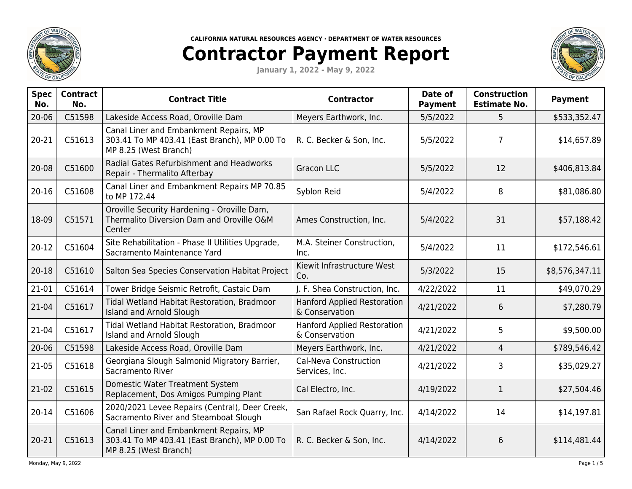

**CALIFORNIA NATURAL RESOURCES AGENCY · DEPARTMENT OF WATER RESOURCES**

## **Contractor Payment Report**

**January 1, 2022 - May 9, 2022**



| <b>Spec</b><br>No. | <b>Contract</b><br>No. | <b>Contract Title</b>                                                                                            | <b>Contractor</b>                                    | Date of<br><b>Payment</b> | <b>Construction</b><br><b>Estimate No.</b> | <b>Payment</b> |
|--------------------|------------------------|------------------------------------------------------------------------------------------------------------------|------------------------------------------------------|---------------------------|--------------------------------------------|----------------|
| 20-06              | C51598                 | Lakeside Access Road, Oroville Dam                                                                               | Meyers Earthwork, Inc.                               | 5/5/2022                  | 5                                          | \$533,352.47   |
| 20-21              | C51613                 | Canal Liner and Embankment Repairs, MP<br>303.41 To MP 403.41 (East Branch), MP 0.00 To<br>MP 8.25 (West Branch) | R. C. Becker & Son, Inc.                             | 5/5/2022                  | $\overline{7}$                             | \$14,657.89    |
| 20-08              | C51600                 | Radial Gates Refurbishment and Headworks<br>Repair - Thermalito Afterbay                                         | <b>Gracon LLC</b>                                    | 5/5/2022                  | 12                                         | \$406,813.84   |
| $20 - 16$          | C51608                 | Canal Liner and Embankment Repairs MP 70.85<br>to MP 172.44                                                      | Syblon Reid                                          | 5/4/2022                  | 8                                          | \$81,086.80    |
| 18-09              | C51571                 | Oroville Security Hardening - Oroville Dam,<br>Thermalito Diversion Dam and Oroville O&M<br>Center               | Ames Construction, Inc.                              | 5/4/2022                  | 31                                         | \$57,188.42    |
| $20-12$            | C51604                 | Site Rehabilitation - Phase II Utilities Upgrade,<br>Sacramento Maintenance Yard                                 | M.A. Steiner Construction,<br>Inc.                   | 5/4/2022                  | 11                                         | \$172,546.61   |
| $20 - 18$          | C51610                 | Salton Sea Species Conservation Habitat Project                                                                  | Kiewit Infrastructure West<br>Co.                    | 5/3/2022                  | 15                                         | \$8,576,347.11 |
| 21-01              | C51614                 | Tower Bridge Seismic Retrofit, Castaic Dam                                                                       | J. F. Shea Construction, Inc.                        | 4/22/2022                 | 11                                         | \$49,070.29    |
| 21-04              | C51617                 | Tidal Wetland Habitat Restoration, Bradmoor<br>Island and Arnold Slough                                          | <b>Hanford Applied Restoration</b><br>& Conservation | 4/21/2022                 | 6                                          | \$7,280.79     |
| 21-04              | C51617                 | Tidal Wetland Habitat Restoration, Bradmoor<br>Island and Arnold Slough                                          | <b>Hanford Applied Restoration</b><br>& Conservation | 4/21/2022                 | 5                                          | \$9,500.00     |
| $20 - 06$          | C51598                 | Lakeside Access Road, Oroville Dam                                                                               | Meyers Earthwork, Inc.                               | 4/21/2022                 | 4                                          | \$789,546.42   |
| 21-05              | C51618                 | Georgiana Slough Salmonid Migratory Barrier,<br>Sacramento River                                                 | Cal-Neva Construction<br>Services, Inc.              | 4/21/2022                 | 3                                          | \$35,029.27    |
| 21-02              | C51615                 | Domestic Water Treatment System<br>Replacement, Dos Amigos Pumping Plant                                         | Cal Electro, Inc.                                    | 4/19/2022                 | 1                                          | \$27,504.46    |
| $20 - 14$          | C51606                 | 2020/2021 Levee Repairs (Central), Deer Creek,<br>Sacramento River and Steamboat Slough                          | San Rafael Rock Quarry, Inc.                         | 4/14/2022                 | 14                                         | \$14,197.81    |
| 20-21              | C51613                 | Canal Liner and Embankment Repairs, MP<br>303.41 To MP 403.41 (East Branch), MP 0.00 To<br>MP 8.25 (West Branch) | R. C. Becker & Son, Inc.                             | 4/14/2022                 | 6                                          | \$114,481.44   |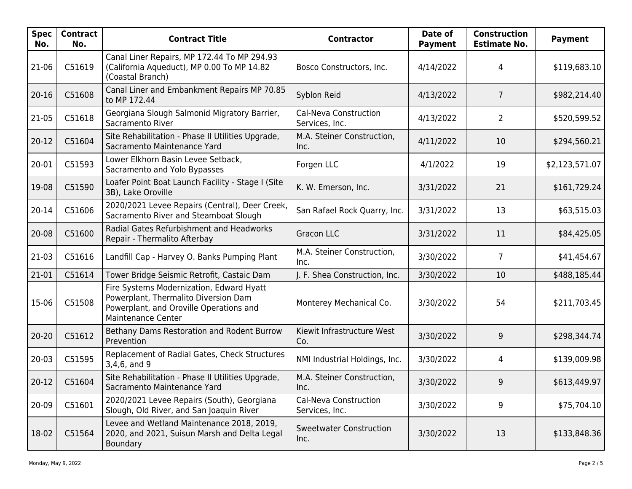| Spec  <br>No. | <b>Contract</b><br>No. | <b>Contract Title</b>                                                                                                                             | <b>Contractor</b>                       | Date of<br><b>Payment</b> | <b>Construction</b><br><b>Estimate No.</b> | <b>Payment</b> |
|---------------|------------------------|---------------------------------------------------------------------------------------------------------------------------------------------------|-----------------------------------------|---------------------------|--------------------------------------------|----------------|
| 21-06         | C51619                 | Canal Liner Repairs, MP 172.44 To MP 294.93<br>(California Aqueduct), MP 0.00 To MP 14.82<br>(Coastal Branch)                                     | Bosco Constructors, Inc.                | 4/14/2022                 | 4                                          | \$119,683.10   |
| $20 - 16$     | C51608                 | Canal Liner and Embankment Repairs MP 70.85<br>to MP 172.44                                                                                       | Syblon Reid                             | 4/13/2022                 | $\overline{7}$                             | \$982,214.40   |
| $21-05$       | C51618                 | Georgiana Slough Salmonid Migratory Barrier,<br>Sacramento River                                                                                  | Cal-Neva Construction<br>Services, Inc. | 4/13/2022                 | $\overline{2}$                             | \$520,599.52   |
| $20 - 12$     | C51604                 | Site Rehabilitation - Phase II Utilities Upgrade,<br>Sacramento Maintenance Yard                                                                  | M.A. Steiner Construction,<br>Inc.      | 4/11/2022                 | 10                                         | \$294,560.21   |
| 20-01         | C51593                 | Lower Elkhorn Basin Levee Setback,<br>Sacramento and Yolo Bypasses                                                                                | Forgen LLC                              | 4/1/2022                  | 19                                         | \$2,123,571.07 |
| 19-08         | C51590                 | Loafer Point Boat Launch Facility - Stage I (Site<br>3B), Lake Oroville                                                                           | K. W. Emerson, Inc.                     | 3/31/2022                 | 21                                         | \$161,729.24   |
| $20 - 14$     | C51606                 | 2020/2021 Levee Repairs (Central), Deer Creek,<br>Sacramento River and Steamboat Slough                                                           | San Rafael Rock Quarry, Inc.            | 3/31/2022                 | 13                                         | \$63,515.03    |
| $20 - 08$     | C51600                 | Radial Gates Refurbishment and Headworks<br>Repair - Thermalito Afterbay                                                                          | <b>Gracon LLC</b>                       | 3/31/2022                 | 11                                         | \$84,425.05    |
| $21-03$       | C51616                 | Landfill Cap - Harvey O. Banks Pumping Plant                                                                                                      | M.A. Steiner Construction,<br>Inc.      | 3/30/2022                 | $\overline{7}$                             | \$41,454.67    |
| 21-01         | C51614                 | Tower Bridge Seismic Retrofit, Castaic Dam                                                                                                        | J. F. Shea Construction, Inc.           | 3/30/2022                 | 10                                         | \$488,185.44   |
| 15-06         | C51508                 | Fire Systems Modernization, Edward Hyatt<br>Powerplant, Thermalito Diversion Dam<br>Powerplant, and Oroville Operations and<br>Maintenance Center | Monterey Mechanical Co.                 | 3/30/2022                 | 54                                         | \$211,703.45   |
| $20 - 20$     | C51612                 | Bethany Dams Restoration and Rodent Burrow<br>Prevention                                                                                          | Kiewit Infrastructure West<br>Co.       | 3/30/2022                 | 9                                          | \$298,344.74   |
| $20 - 03$     | C51595                 | Replacement of Radial Gates, Check Structures<br>3,4,6, and 9                                                                                     | NMI Industrial Holdings, Inc.           | 3/30/2022                 | 4                                          | \$139,009.98   |
| $20-12$       | C51604                 | Site Rehabilitation - Phase II Utilities Upgrade,<br>Sacramento Maintenance Yard                                                                  | M.A. Steiner Construction,<br>Inc.      | 3/30/2022                 | 9                                          | \$613,449.97   |
| 20-09         | C51601                 | 2020/2021 Levee Repairs (South), Georgiana<br>Slough, Old River, and San Joaquin River                                                            | Cal-Neva Construction<br>Services, Inc. | 3/30/2022                 | 9                                          | \$75,704.10    |
| 18-02         | C51564                 | Levee and Wetland Maintenance 2018, 2019,<br>2020, and 2021, Suisun Marsh and Delta Legal<br>Boundary                                             | <b>Sweetwater Construction</b><br>Inc.  | 3/30/2022                 | 13                                         | \$133,848.36   |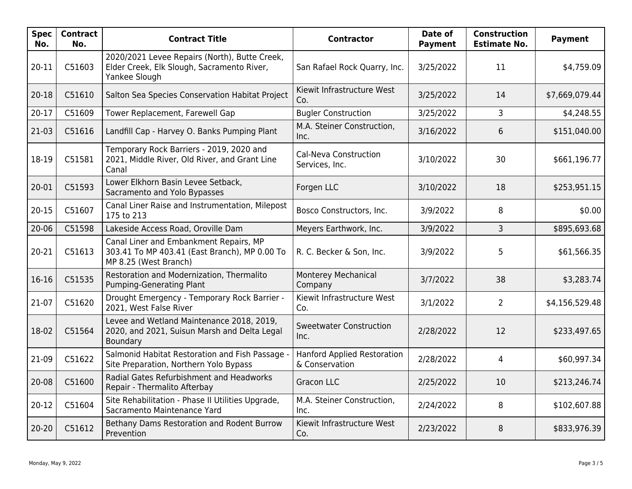| <b>Spec</b><br>No. | <b>Contract</b><br>No. | <b>Contract Title</b>                                                                                            | <b>Contractor</b>                                    | Date of<br><b>Payment</b> | <b>Construction</b><br><b>Estimate No.</b> | <b>Payment</b> |
|--------------------|------------------------|------------------------------------------------------------------------------------------------------------------|------------------------------------------------------|---------------------------|--------------------------------------------|----------------|
| 20-11              | C51603                 | 2020/2021 Levee Repairs (North), Butte Creek,<br>Elder Creek, Elk Slough, Sacramento River,<br>Yankee Slough     | San Rafael Rock Quarry, Inc.                         | 3/25/2022                 | 11                                         | \$4,759.09     |
| $20 - 18$          | C51610                 | Salton Sea Species Conservation Habitat Project                                                                  | Kiewit Infrastructure West<br>Co.                    | 3/25/2022                 | 14                                         | \$7,669,079.44 |
| $20 - 17$          | C51609                 | Tower Replacement, Farewell Gap                                                                                  | <b>Bugler Construction</b>                           | 3/25/2022                 | $\overline{3}$                             | \$4,248.55     |
| 21-03              | C51616                 | Landfill Cap - Harvey O. Banks Pumping Plant                                                                     | M.A. Steiner Construction,<br>Inc.                   | 3/16/2022                 | 6                                          | \$151,040.00   |
| 18-19              | C51581                 | Temporary Rock Barriers - 2019, 2020 and<br>2021, Middle River, Old River, and Grant Line<br>Canal               | Cal-Neva Construction<br>Services, Inc.              | 3/10/2022                 | 30                                         | \$661,196.77   |
| 20-01              | C51593                 | Lower Elkhorn Basin Levee Setback,<br>Sacramento and Yolo Bypasses                                               | Forgen LLC                                           | 3/10/2022                 | 18                                         | \$253,951.15   |
| $20 - 15$          | C51607                 | Canal Liner Raise and Instrumentation, Milepost<br>175 to 213                                                    | Bosco Constructors, Inc.                             | 3/9/2022                  | 8                                          | \$0.00         |
| $20 - 06$          | C51598                 | Lakeside Access Road, Oroville Dam                                                                               | Meyers Earthwork, Inc.                               | 3/9/2022                  | 3                                          | \$895,693.68   |
| 20-21              | C51613                 | Canal Liner and Embankment Repairs, MP<br>303.41 To MP 403.41 (East Branch), MP 0.00 To<br>MP 8.25 (West Branch) | R. C. Becker & Son, Inc.                             | 3/9/2022                  | 5                                          | \$61,566.35    |
| $16-16$            | C51535                 | Restoration and Modernization, Thermalito<br>Pumping-Generating Plant                                            | Monterey Mechanical<br>Company                       | 3/7/2022                  | 38                                         | \$3,283.74     |
| 21-07              | C51620                 | Drought Emergency - Temporary Rock Barrier -<br>2021, West False River                                           | Kiewit Infrastructure West<br>Co.                    | 3/1/2022                  | $\overline{2}$                             | \$4,156,529.48 |
| 18-02              | C51564                 | Levee and Wetland Maintenance 2018, 2019,<br>2020, and 2021, Suisun Marsh and Delta Legal<br>Boundary            | <b>Sweetwater Construction</b><br>Inc.               | 2/28/2022                 | 12                                         | \$233,497.65   |
| 21-09              | C51622                 | Salmonid Habitat Restoration and Fish Passage -<br>Site Preparation, Northern Yolo Bypass                        | <b>Hanford Applied Restoration</b><br>& Conservation | 2/28/2022                 | 4                                          | \$60,997.34    |
| 20-08              | C51600                 | Radial Gates Refurbishment and Headworks<br>Repair - Thermalito Afterbay                                         | <b>Gracon LLC</b>                                    | 2/25/2022                 | 10                                         | \$213,246.74   |
| $20 - 12$          | C51604                 | Site Rehabilitation - Phase II Utilities Upgrade,<br>Sacramento Maintenance Yard                                 | M.A. Steiner Construction,<br>Inc.                   | 2/24/2022                 | 8                                          | \$102,607.88   |
| $20 - 20$          | C51612                 | Bethany Dams Restoration and Rodent Burrow<br>Prevention                                                         | Kiewit Infrastructure West<br>Co.                    | 2/23/2022                 | 8                                          | \$833,976.39   |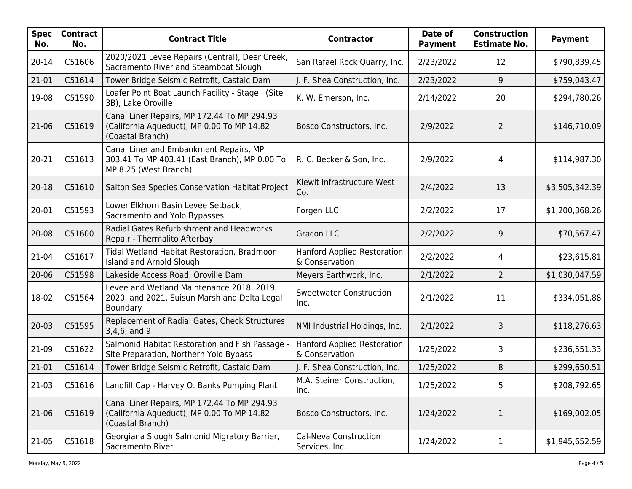| <b>Spec</b><br>No. | <b>Contract</b><br>No. | <b>Contract Title</b>                                                                                            | <b>Contractor</b>                                    | Date of<br><b>Payment</b> | <b>Construction</b><br><b>Estimate No.</b> | <b>Payment</b> |
|--------------------|------------------------|------------------------------------------------------------------------------------------------------------------|------------------------------------------------------|---------------------------|--------------------------------------------|----------------|
| 20-14              | C51606                 | 2020/2021 Levee Repairs (Central), Deer Creek,<br>Sacramento River and Steamboat Slough                          | San Rafael Rock Quarry, Inc.                         | 2/23/2022                 | 12                                         | \$790,839.45   |
| 21-01              | C51614                 | Tower Bridge Seismic Retrofit, Castaic Dam                                                                       | J. F. Shea Construction, Inc.                        | 2/23/2022                 | 9                                          | \$759,043.47   |
| 19-08              | C51590                 | Loafer Point Boat Launch Facility - Stage I (Site<br>3B), Lake Oroville                                          | K. W. Emerson, Inc.                                  | 2/14/2022                 | 20                                         | \$294,780.26   |
| 21-06              | C51619                 | Canal Liner Repairs, MP 172.44 To MP 294.93<br>(California Aqueduct), MP 0.00 To MP 14.82<br>(Coastal Branch)    | Bosco Constructors, Inc.                             | 2/9/2022                  | $\overline{2}$                             | \$146,710.09   |
| $20 - 21$          | C51613                 | Canal Liner and Embankment Repairs, MP<br>303.41 To MP 403.41 (East Branch), MP 0.00 To<br>MP 8.25 (West Branch) | R. C. Becker & Son, Inc.                             | 2/9/2022                  | 4                                          | \$114,987.30   |
| $20 - 18$          | C51610                 | Salton Sea Species Conservation Habitat Project                                                                  | Kiewit Infrastructure West<br>Co.                    | 2/4/2022                  | 13                                         | \$3,505,342.39 |
| 20-01              | C51593                 | Lower Elkhorn Basin Levee Setback,<br>Sacramento and Yolo Bypasses                                               | Forgen LLC                                           | 2/2/2022                  | 17                                         | \$1,200,368.26 |
| 20-08              | C51600                 | Radial Gates Refurbishment and Headworks<br>Repair - Thermalito Afterbay                                         | <b>Gracon LLC</b>                                    | 2/2/2022                  | 9                                          | \$70,567.47    |
| 21-04              | C51617                 | Tidal Wetland Habitat Restoration, Bradmoor<br>Island and Arnold Slough                                          | <b>Hanford Applied Restoration</b><br>& Conservation | 2/2/2022                  | 4                                          | \$23,615.81    |
| $20 - 06$          | C51598                 | Lakeside Access Road, Oroville Dam                                                                               | Meyers Earthwork, Inc.                               | 2/1/2022                  | $\overline{2}$                             | \$1,030,047.59 |
| 18-02              | C51564                 | Levee and Wetland Maintenance 2018, 2019,<br>2020, and 2021, Suisun Marsh and Delta Legal<br>Boundary            | <b>Sweetwater Construction</b><br>Inc.               | 2/1/2022                  | 11                                         | \$334,051.88   |
| $20 - 03$          | C51595                 | Replacement of Radial Gates, Check Structures<br>3,4,6, and 9                                                    | NMI Industrial Holdings, Inc.                        | 2/1/2022                  | 3                                          | \$118,276.63   |
| 21-09              | C51622                 | Salmonid Habitat Restoration and Fish Passage -<br>Site Preparation, Northern Yolo Bypass                        | <b>Hanford Applied Restoration</b><br>& Conservation | 1/25/2022                 | 3                                          | \$236,551.33   |
| 21-01              | C51614                 | Tower Bridge Seismic Retrofit, Castaic Dam                                                                       | J. F. Shea Construction, Inc.                        | 1/25/2022                 | 8                                          | \$299,650.51   |
| 21-03              | C51616                 | Landfill Cap - Harvey O. Banks Pumping Plant                                                                     | M.A. Steiner Construction,<br>Inc.                   | 1/25/2022                 | 5                                          | \$208,792.65   |
| 21-06              | C51619                 | Canal Liner Repairs, MP 172.44 To MP 294.93<br>(California Aqueduct), MP 0.00 To MP 14.82<br>(Coastal Branch)    | Bosco Constructors, Inc.                             | 1/24/2022                 | $\mathbf{1}$                               | \$169,002.05   |
| 21-05              | C51618                 | Georgiana Slough Salmonid Migratory Barrier,<br>Sacramento River                                                 | Cal-Neva Construction<br>Services, Inc.              | 1/24/2022                 | $\mathbf 1$                                | \$1,945,652.59 |